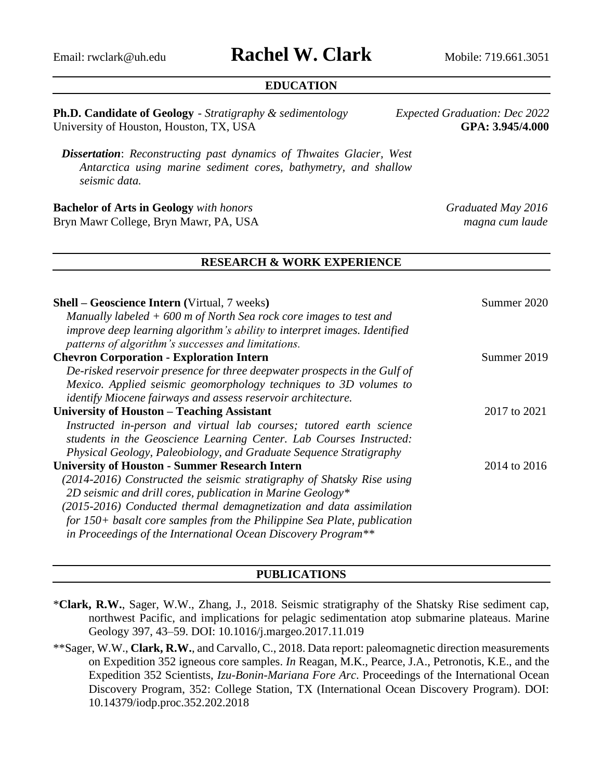# Email: [rwclark@uh.edu](mailto:rwclark@uh.edu) **Rachel W. Clark** Mobile: 719.661.3051

### **EDUCATION**

**Ph.D. Candidate of Geology** - *Stratigraphy & sedimentology Expected Graduation: Dec 2022* University of Houston, Houston, TX, USA **GPA: 3.945/4.000**

*Dissertation*: *Reconstructing past dynamics of Thwaites Glacier, West Antarctica using marine sediment cores, bathymetry, and shallow seismic data.*

**Bachelor of Arts in Geology** *with honors**Graduated May 2016* Bryn Mawr College, Bryn Mawr, PA, USA *magna cum laude*

#### **RESEARCH & WORK EXPERIENCE**

| <b>Shell - Geoscience Intern (Virtual, 7 weeks)</b><br>Manually labeled $+600$ m of North Sea rock core images to test and<br>improve deep learning algorithm's ability to interpret images. Identified<br>patterns of algorithm's successes and limitations. | Summer 2020  |
|---------------------------------------------------------------------------------------------------------------------------------------------------------------------------------------------------------------------------------------------------------------|--------------|
| <b>Chevron Corporation - Exploration Intern</b>                                                                                                                                                                                                               | Summer 2019  |
| De-risked reservoir presence for three deepwater prospects in the Gulf of                                                                                                                                                                                     |              |
| Mexico. Applied seismic geomorphology techniques to 3D volumes to                                                                                                                                                                                             |              |
| <i>identify Miocene fairways and assess reservoir architecture.</i>                                                                                                                                                                                           |              |
| University of Houston - Teaching Assistant                                                                                                                                                                                                                    | 2017 to 2021 |
| Instructed in-person and virtual lab courses; tutored earth science                                                                                                                                                                                           |              |
| students in the Geoscience Learning Center. Lab Courses Instructed:                                                                                                                                                                                           |              |
| Physical Geology, Paleobiology, and Graduate Sequence Stratigraphy                                                                                                                                                                                            |              |
| <b>University of Houston - Summer Research Intern</b>                                                                                                                                                                                                         | 2014 to 2016 |
| (2014-2016) Constructed the seismic stratigraphy of Shatsky Rise using                                                                                                                                                                                        |              |
| 2D seismic and drill cores, publication in Marine Geology*                                                                                                                                                                                                    |              |
| (2015-2016) Conducted thermal demagnetization and data assimilation                                                                                                                                                                                           |              |
| for 150+ basalt core samples from the Philippine Sea Plate, publication                                                                                                                                                                                       |              |
| in Proceedings of the International Ocean Discovery Program**                                                                                                                                                                                                 |              |
|                                                                                                                                                                                                                                                               |              |

#### **PUBLICATIONS**

- \***Clark, R.W.**, Sager, W.W., Zhang, J., 2018. Seismic stratigraphy of the Shatsky Rise sediment cap, northwest Pacific, and implications for pelagic sedimentation atop submarine plateaus. Marine Geology 397, 43–59. DOI: 10.1016/j.margeo.2017.11.019
- \*\*Sager, W.W., **Clark, R.W.**, and Carvallo, C., 2018. Data report: paleomagnetic direction measurements on Expedition 352 igneous core samples. *In* Reagan, M.K., Pearce, J.A., Petronotis, K.E., and the Expedition 352 Scientists, *Izu-Bonin-Mariana Fore Arc*. Proceedings of the International Ocean Discovery Program, 352: College Station, TX (International Ocean Discovery Program). DOI: 10.14379/iodp.proc.352.202.2018